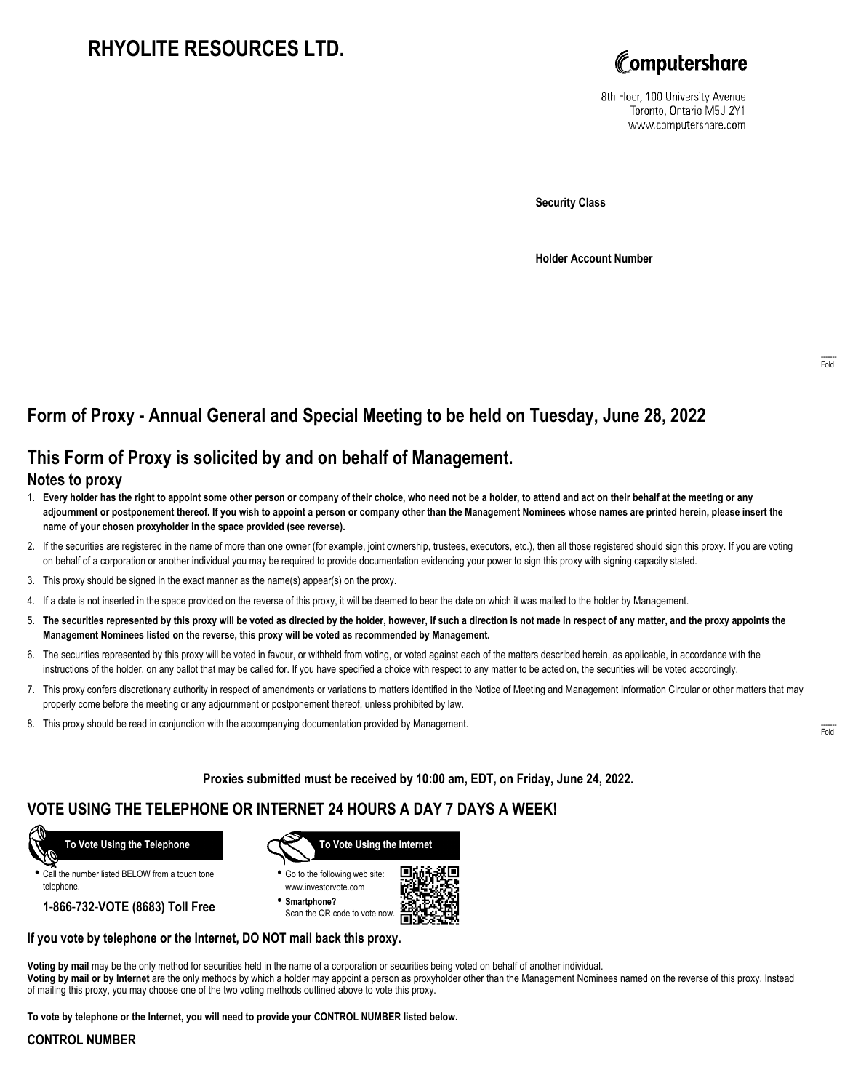# **RHYOLITE RESOURCES LTD.**



8th Floor, 100 University Avenue Toronto, Ontario M5J 2Y1 www.computershare.com

**Security Class**

**Holder Account Number**

## **Form of Proxy - Annual General and Special Meeting to be held on Tuesday, June 28, 2022**

## **This Form of Proxy is solicited by and on behalf of Management.**

### **Notes to proxy**

- 1. **Every holder has the right to appoint some other person or company of their choice, who need not be a holder, to attend and act on their behalf at the meeting or any adjournment or postponement thereof. If you wish to appoint a person or company other than the Management Nominees whose names are printed herein, please insert the name of your chosen proxyholder in the space provided (see reverse).**
- 2. If the securities are registered in the name of more than one owner (for example, joint ownership, trustees, executors, etc.), then all those registered should sign this proxy. If you are voting on behalf of a corporation or another individual you may be required to provide documentation evidencing your power to sign this proxy with signing capacity stated.
- 3. This proxy should be signed in the exact manner as the name(s) appear(s) on the proxy.
- 4. If a date is not inserted in the space provided on the reverse of this proxy, it will be deemed to bear the date on which it was mailed to the holder by Management.
- 5. **The securities represented by this proxy will be voted as directed by the holder, however, if such a direction is not made in respect of any matter, and the proxy appoints the Management Nominees listed on the reverse, this proxy will be voted as recommended by Management.**
- 6. The securities represented by this proxy will be voted in favour, or withheld from voting, or voted against each of the matters described herein, as applicable, in accordance with the instructions of the holder, on any ballot that may be called for. If you have specified a choice with respect to any matter to be acted on, the securities will be voted accordingly.
- 7. This proxy confers discretionary authority in respect of amendments or variations to matters identified in the Notice of Meeting and Management Information Circular or other matters that may properly come before the meeting or any adjournment or postponement thereof, unless prohibited by law.
- 8. This proxy should be read in conjunction with the accompanying documentation provided by Management.

**Proxies submitted must be received by 10:00 am, EDT, on Friday, June 24, 2022.**

## **VOTE USING THE TELEPHONE OR INTERNET 24 HOURS A DAY 7 DAYS A WEEK!**



**•** Call the number listed BELOW from a touch tone telephone.

**1-866-732-VOTE (8683) Toll Free**



**•** Go to the following web site: www.investorvote.com

**• Smartphone?** Scan the QR code to vote now.



### **If you vote by telephone or the Internet, DO NOT mail back this proxy.**

**Voting by mail** may be the only method for securities held in the name of a corporation or securities being voted on behalf of another individual. **Voting by mail or by Internet** are the only methods by which a holder may appoint a person as proxyholder other than the Management Nominees named on the reverse of this proxy. Instead of mailing this proxy, you may choose one of the two voting methods outlined above to vote this proxy.

**To vote by telephone or the Internet, you will need to provide your CONTROL NUMBER listed below.**

#### **CONTROL NUMBER**